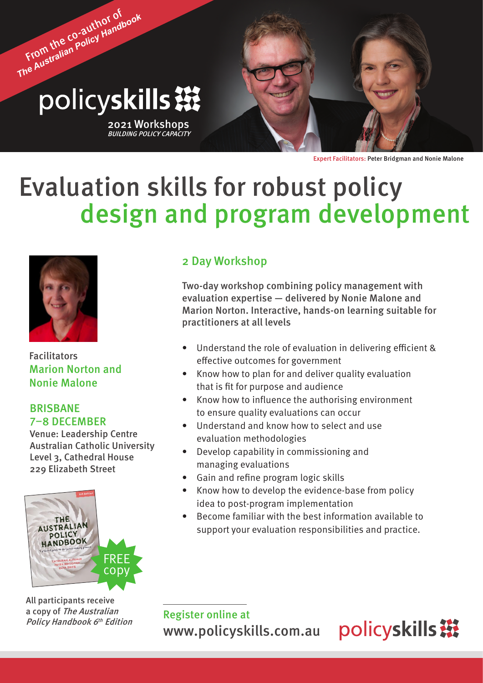# From the co-author of *The Australian Policy Handbook* policyskills ※

2021 Workshops BUILDING POLICY CAPACITY

Expert Facilitators: Peter Bridgman and Nonie Malone

## Evaluation skills for robust policy design and program development



Facilitators Marion Norton and Nonie Malone

#### BRISBANE 7–8 DECEMBER

Venue: Leadership Centre Australian Catholic University Level 3, Cathedral House 229 Elizabeth Street



All participants receive a copy of The Australian Policy Handbook 6<sup>th</sup> Edition

#### 2 Day Workshop

Two-day workshop combining policy management with evaluation expertise — delivered by Nonie Malone and Marion Norton. Interactive, hands-on learning suitable for practitioners at all levels

- Understand the role of evaluation in delivering efficient & effective outcomes for government
- Know how to plan for and deliver quality evaluation that is fit for purpose and audience
- Know how to influence the authorising environment to ensure quality evaluations can occur
- Understand and know how to select and use evaluation methodologies
- Develop capability in commissioning and managing evaluations
- Gain and refine program logic skills
- Know how to develop the evidence-base from policy idea to post-program implementation
- Become familiar with the best information available to support your evaluation responsibilities and practice.

Register online at <www.policyskills.com.au>